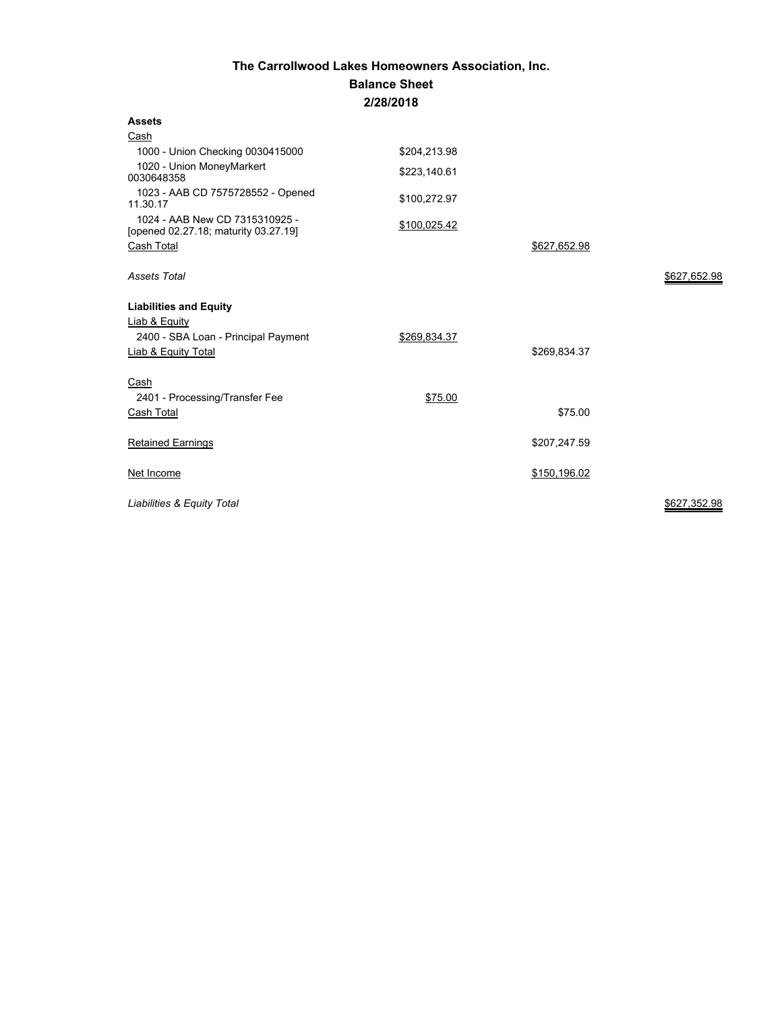## **The Carrollwood Lakes Homeowners Association, Inc. Balance Sheet 2/28/2018**

| <b>Assets</b>                                                          |              |              |              |
|------------------------------------------------------------------------|--------------|--------------|--------------|
| Cash                                                                   |              |              |              |
| 1000 - Union Checking 0030415000                                       | \$204,213.98 |              |              |
| 1020 - Union MoneyMarkert<br>0030648358                                | \$223,140.61 |              |              |
| 1023 - AAB CD 7575728552 - Opened<br>11.30.17                          | \$100,272.97 |              |              |
| 1024 - AAB New CD 7315310925 -<br>[opened 02.27.18; maturity 03.27.19] | \$100,025.42 |              |              |
| Cash Total                                                             |              | \$627,652.98 |              |
| <b>Assets Total</b>                                                    |              |              | \$627,652.98 |
| <b>Liabilities and Equity</b>                                          |              |              |              |
| Liab & Equity                                                          |              |              |              |
| 2400 - SBA Loan - Principal Payment                                    | \$269,834.37 |              |              |
| <b>Liab &amp; Equity Total</b>                                         |              | \$269,834.37 |              |
| Cash                                                                   |              |              |              |
| 2401 - Processing/Transfer Fee                                         | \$75.00      |              |              |
| Cash Total                                                             |              | \$75.00      |              |
| <b>Retained Earnings</b>                                               |              | \$207,247.59 |              |
| Net Income                                                             |              | \$150,196.02 |              |
| Liabilities & Equity Total                                             |              |              | \$627,352.98 |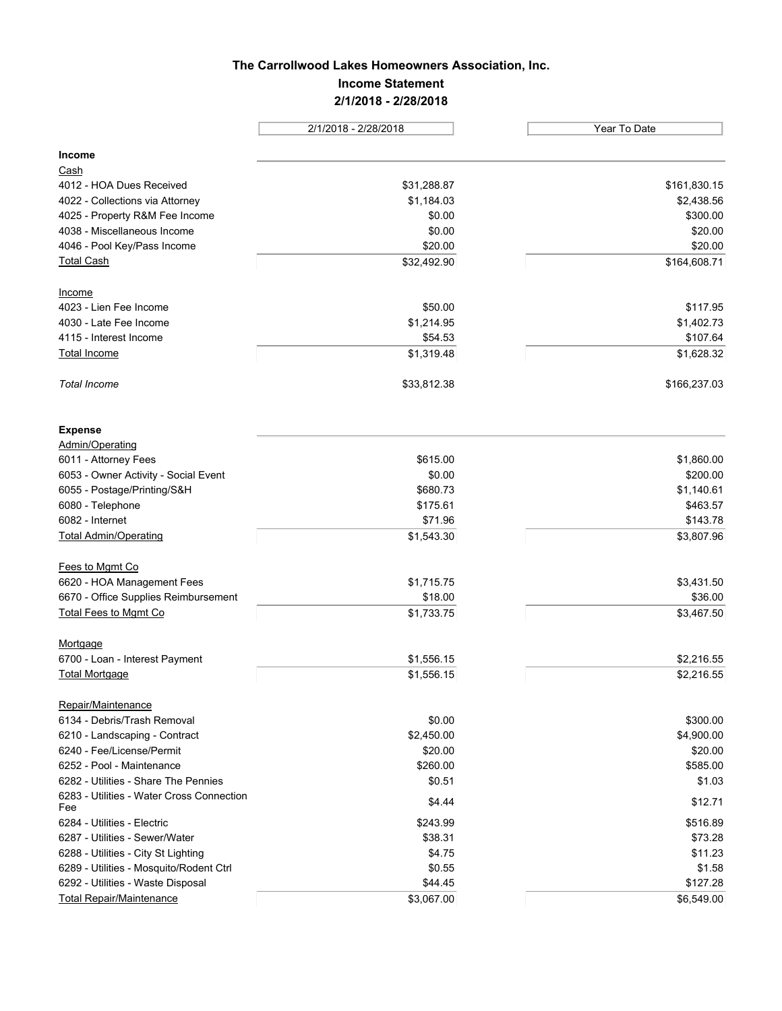# **The Carrollwood Lakes Homeowners Association, Inc. Income Statement 2/1/2018 - 2/28/2018**

| 2/1/2018 - 2/28/2018                             |             | Year To Date           |  |
|--------------------------------------------------|-------------|------------------------|--|
| Income                                           |             |                        |  |
| Cash                                             |             |                        |  |
| 4012 - HOA Dues Received                         |             | \$161,830.15           |  |
|                                                  | \$31,288.87 |                        |  |
| 4022 - Collections via Attorney                  | \$1,184.03  | \$2,438.56<br>\$300.00 |  |
| 4025 - Property R&M Fee Income                   | \$0.00      |                        |  |
| 4038 - Miscellaneous Income                      | \$0.00      | \$20.00<br>\$20.00     |  |
| 4046 - Pool Key/Pass Income                      | \$20.00     |                        |  |
| <b>Total Cash</b>                                | \$32,492.90 | \$164,608.71           |  |
| Income                                           |             |                        |  |
| 4023 - Lien Fee Income                           | \$50.00     | \$117.95               |  |
| 4030 - Late Fee Income                           | \$1,214.95  | \$1,402.73             |  |
| 4115 - Interest Income                           | \$54.53     | \$107.64               |  |
| <b>Total Income</b>                              | \$1,319.48  | \$1,628.32             |  |
| <b>Total Income</b>                              | \$33,812.38 | \$166,237.03           |  |
| <b>Expense</b>                                   |             |                        |  |
| Admin/Operating                                  |             |                        |  |
| 6011 - Attorney Fees                             | \$615.00    | \$1,860.00             |  |
| 6053 - Owner Activity - Social Event             | \$0.00      | \$200.00               |  |
| 6055 - Postage/Printing/S&H                      | \$680.73    | \$1,140.61             |  |
| 6080 - Telephone                                 | \$175.61    | \$463.57               |  |
| 6082 - Internet                                  | \$71.96     | \$143.78               |  |
| <b>Total Admin/Operating</b>                     | \$1,543.30  | \$3,807.96             |  |
| Fees to Mgmt Co                                  |             |                        |  |
| 6620 - HOA Management Fees                       | \$1,715.75  | \$3,431.50             |  |
| 6670 - Office Supplies Reimbursement             | \$18.00     | \$36.00                |  |
| <b>Total Fees to Mgmt Co</b>                     | \$1,733.75  | \$3,467.50             |  |
| Mortgage                                         |             |                        |  |
| 6700 - Loan - Interest Payment                   | \$1,556.15  | \$2,216.55             |  |
| <b>Total Mortgage</b>                            | \$1,556.15  | \$2,216.55             |  |
| Repair/Maintenance                               |             |                        |  |
| 6134 - Debris/Trash Removal                      | \$0.00      | \$300.00               |  |
| 6210 - Landscaping - Contract                    | \$2,450.00  | \$4,900.00             |  |
| 6240 - Fee/License/Permit                        | \$20.00     | \$20.00                |  |
| 6252 - Pool - Maintenance                        | \$260.00    | \$585.00               |  |
| 6282 - Utilities - Share The Pennies             | \$0.51      | \$1.03                 |  |
| 6283 - Utilities - Water Cross Connection<br>Fee | \$4.44      | \$12.71                |  |
| 6284 - Utilities - Electric                      | \$243.99    | \$516.89               |  |
| 6287 - Utilities - Sewer/Water                   | \$38.31     | \$73.28                |  |
| 6288 - Utilities - City St Lighting              | \$4.75      | \$11.23                |  |
| 6289 - Utilities - Mosquito/Rodent Ctrl          | \$0.55      | \$1.58                 |  |
| 6292 - Utilities - Waste Disposal                | \$44.45     | \$127.28               |  |
| <b>Total Repair/Maintenance</b>                  | \$3,067.00  | \$6,549.00             |  |